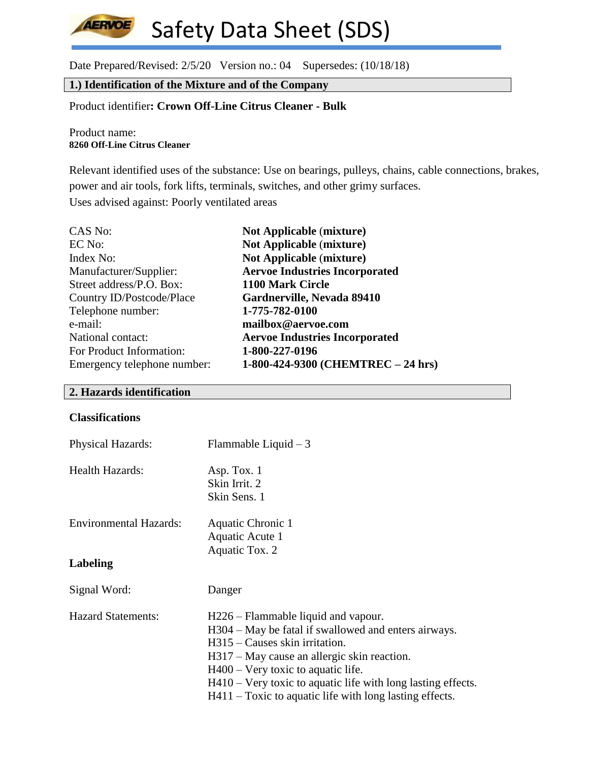Date Prepared/Revised: 2/5/20 Version no.: 04 Supersedes: (10/18/18)

# **1.) Identification of the Mixture and of the Company**

# Product identifier**: Crown Off-Line Citrus Cleaner - Bulk**

#### Product name: **8260 Off-Line Citrus Cleaner**

**AERVOE** 

Relevant identified uses of the substance: Use on bearings, pulleys, chains, cable connections, brakes, power and air tools, fork lifts, terminals, switches, and other grimy surfaces. Uses advised against: Poorly ventilated areas

| CAS No:                     | <b>Not Applicable (mixture)</b>       |
|-----------------------------|---------------------------------------|
| EC No:                      | <b>Not Applicable (mixture)</b>       |
| Index No:                   | <b>Not Applicable (mixture)</b>       |
| Manufacturer/Supplier:      | <b>Aervoe Industries Incorporated</b> |
| Street address/P.O. Box:    | 1100 Mark Circle                      |
| Country ID/Postcode/Place   | Gardnerville, Nevada 89410            |
| Telephone number:           | 1-775-782-0100                        |
| e-mail:                     | mailbox@aervoe.com                    |
| National contact:           | <b>Aervoe Industries Incorporated</b> |
| For Product Information:    | 1-800-227-0196                        |
| Emergency telephone number: | 1-800-424-9300 (CHEMTREC - 24 hrs)    |

## **2. Hazards identification**

#### **Classifications**

| <b>Physical Hazards:</b>      | Flammable Liquid $-3$                                          |
|-------------------------------|----------------------------------------------------------------|
| <b>Health Hazards:</b>        | Asp. Tox. $1$                                                  |
|                               | Skin Irrit. 2                                                  |
|                               | Skin Sens. 1                                                   |
| <b>Environmental Hazards:</b> | Aquatic Chronic 1                                              |
|                               | Aquatic Acute 1                                                |
|                               | Aquatic Tox. 2                                                 |
| Labeling                      |                                                                |
| Signal Word:                  | Danger                                                         |
| <b>Hazard Statements:</b>     | H226 – Flammable liquid and vapour.                            |
|                               | H304 – May be fatal if swallowed and enters airways.           |
|                               | $H315$ – Causes skin irritation.                               |
|                               | H317 – May cause an allergic skin reaction.                    |
|                               | $H400 - V$ ery toxic to aquatic life.                          |
|                               | $H410$ – Very toxic to aquatic life with long lasting effects. |
|                               | $H411$ – Toxic to aquatic life with long lasting effects.      |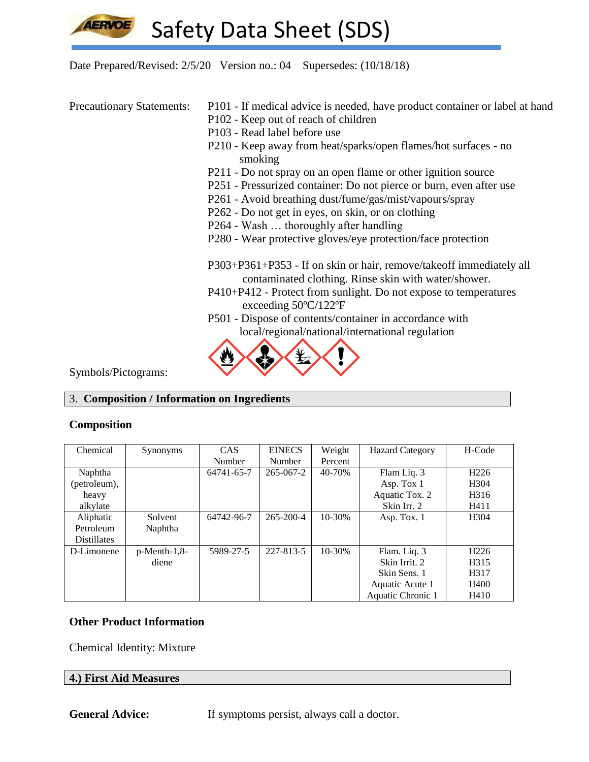

Date Prepared/Revised: 2/5/20 Version no.: 04 Supersedes: (10/18/18)

- Precautionary Statements: P101 If medical advice is needed, have product container or label at hand
	- P102 Keep out of reach of children
	- P103 Read label before use
	- P210 Keep away from heat/sparks/open flames/hot surfaces no smoking
	- P211 Do not spray on an open flame or other ignition source
	- P251 Pressurized container: Do not pierce or burn, even after use
	- P261 Avoid breathing dust/fume/gas/mist/vapours/spray
	- P262 Do not get in eyes, on skin, or on clothing
	- P264 Wash … thoroughly after handling
	- P280 Wear protective gloves/eye protection/face protection
	- P303+P361+P353 If on skin or hair, remove/takeoff immediately all contaminated clothing. Rinse skin with water/shower.
	- P410+P412 Protect from sunlight. Do not expose to temperatures exceeding 50ºC/122ºF
	- P501 Dispose of contents/container in accordance with local/regional/national/international regulation



Symbols/Pictograms:

## 3. **Composition / Information on Ingredients**

## **Composition**

| Chemical           | Synonyms        | CAS.       | <b>EINECS</b>   | Weight  | <b>Hazard Category</b> | H-Code            |
|--------------------|-----------------|------------|-----------------|---------|------------------------|-------------------|
|                    |                 | Number     | Number          | Percent |                        |                   |
| Naphtha            |                 | 64741-65-7 | $265 - 067 - 2$ | 40-70%  | Flam Liq. 3            | H <sub>226</sub>  |
| (petroleum),       |                 |            |                 |         | Asp. Tox 1             | H <sub>304</sub>  |
| heavy              |                 |            |                 |         | Aquatic Tox. 2         | H <sub>316</sub>  |
| alkylate           |                 |            |                 |         | Skin Irr. 2            | H411              |
| Aliphatic          | Solvent         | 64742-96-7 | $265 - 200 - 4$ | 10-30%  | Asp. Tox. 1            | H <sub>304</sub>  |
| Petroleum          | Naphtha         |            |                 |         |                        |                   |
| <b>Distillates</b> |                 |            |                 |         |                        |                   |
| D-Limonene         | $p$ -Menth-1,8- | 5989-27-5  | 227-813-5       | 10-30%  | Flam. Liq. 3           | H <sub>226</sub>  |
|                    | diene           |            |                 |         | Skin Irrit. 2          | H <sub>3</sub> 15 |
|                    |                 |            |                 |         | Skin Sens. 1           | H <sub>3</sub> 17 |
|                    |                 |            |                 |         | Aquatic Acute 1        | H400              |
|                    |                 |            |                 |         | Aquatic Chronic 1      | H410              |

# **Other Product Information**

Chemical Identity: Mixture

#### **4.) First Aid Measures**

**General Advice:** If symptoms persist, always call a doctor.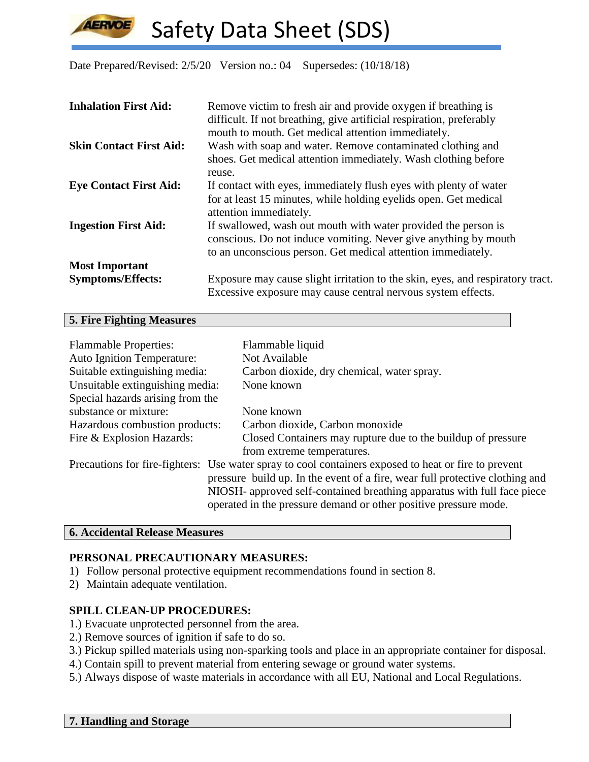Date Prepared/Revised: 2/5/20 Version no.: 04 Supersedes: (10/18/18)

| <b>Inhalation First Aid:</b>   | Remove victim to fresh air and provide oxygen if breathing is<br>difficult. If not breathing, give artificial respiration, preferably<br>mouth to mouth. Get medical attention immediately.       |
|--------------------------------|---------------------------------------------------------------------------------------------------------------------------------------------------------------------------------------------------|
| <b>Skin Contact First Aid:</b> | Wash with soap and water. Remove contaminated clothing and<br>shoes. Get medical attention immediately. Wash clothing before<br>reuse.                                                            |
| <b>Eye Contact First Aid:</b>  | If contact with eyes, immediately flush eyes with plenty of water<br>for at least 15 minutes, while holding eyelids open. Get medical<br>attention immediately.                                   |
| <b>Ingestion First Aid:</b>    | If swallowed, wash out mouth with water provided the person is<br>conscious. Do not induce vomiting. Never give anything by mouth<br>to an unconscious person. Get medical attention immediately. |
| <b>Most Important</b>          |                                                                                                                                                                                                   |
| <b>Symptoms/Effects:</b>       | Exposure may cause slight irritation to the skin, eyes, and respiratory tract.<br>Excessive exposure may cause central nervous system effects.                                                    |

#### **5. Fire Fighting Measures**

**LERVOE** 

| <b>Flammable Properties:</b><br><b>Auto Ignition Temperature:</b>            | Flammable liquid<br>Not Available                                                                    |  |  |
|------------------------------------------------------------------------------|------------------------------------------------------------------------------------------------------|--|--|
| Suitable extinguishing media:                                                | Carbon dioxide, dry chemical, water spray.                                                           |  |  |
| Unsuitable extinguishing media:                                              | None known                                                                                           |  |  |
| Special hazards arising from the                                             |                                                                                                      |  |  |
| substance or mixture:                                                        | None known                                                                                           |  |  |
| Hazardous combustion products:                                               | Carbon dioxide, Carbon monoxide                                                                      |  |  |
| Fire & Explosion Hazards:                                                    | Closed Containers may rupture due to the buildup of pressure                                         |  |  |
|                                                                              | from extreme temperatures.                                                                           |  |  |
|                                                                              | Precautions for fire-fighters: Use water spray to cool containers exposed to heat or fire to prevent |  |  |
| pressure build up. In the event of a fire, wear full protective clothing and |                                                                                                      |  |  |
|                                                                              | NIOSH- approved self-contained breathing apparatus with full face piece                              |  |  |
|                                                                              | operated in the pressure demand or other positive pressure mode.                                     |  |  |

#### **6. Accidental Release Measures**

## **PERSONAL PRECAUTIONARY MEASURES:**

- 1) Follow personal protective equipment recommendations found in section 8.
- 2) Maintain adequate ventilation.

## **SPILL CLEAN-UP PROCEDURES:**

- 1.) Evacuate unprotected personnel from the area.
- 2.) Remove sources of ignition if safe to do so.
- 3.) Pickup spilled materials using non-sparking tools and place in an appropriate container for disposal.
- 4.) Contain spill to prevent material from entering sewage or ground water systems.
- 5.) Always dispose of waste materials in accordance with all EU, National and Local Regulations.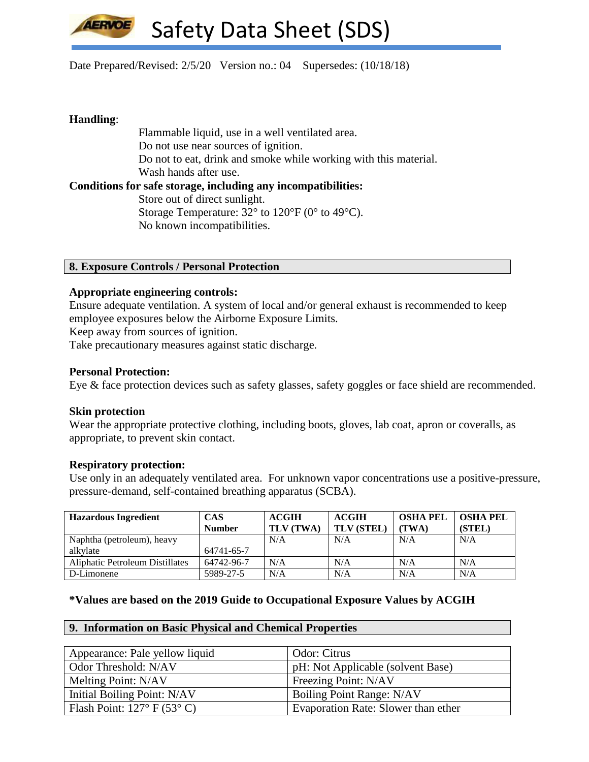

### Date Prepared/Revised: 2/5/20 Version no.: 04 Supersedes: (10/18/18)

## **Handling**:

Flammable liquid, use in a well ventilated area. Do not use near sources of ignition. Do not to eat, drink and smoke while working with this material. Wash hands after use. **Conditions for safe storage, including any incompatibilities:** Store out of direct sunlight. Storage Temperature: 32° to 120°F (0° to 49°C). No known incompatibilities.

#### **8. Exposure Controls / Personal Protection**

## **Appropriate engineering controls:**

Ensure adequate ventilation. A system of local and/or general exhaust is recommended to keep employee exposures below the Airborne Exposure Limits.

Keep away from sources of ignition.

Take precautionary measures against static discharge.

## **Personal Protection:**

Eye & face protection devices such as safety glasses, safety goggles or face shield are recommended.

#### **Skin protection**

Wear the appropriate protective clothing, including boots, gloves, lab coat, apron or coveralls, as appropriate, to prevent skin contact.

#### **Respiratory protection:**

Use only in an adequately ventilated area. For unknown vapor concentrations use a positive-pressure, pressure-demand, self-contained breathing apparatus (SCBA).

| <b>Hazardous Ingredient</b>     | <b>CAS</b>    | <b>ACGIH</b>     | <b>ACGIH</b>      | <b>OSHA PEL</b> | <b>OSHA PEL</b> |
|---------------------------------|---------------|------------------|-------------------|-----------------|-----------------|
|                                 | <b>Number</b> | <b>TLV (TWA)</b> | <b>TLV (STEL)</b> | (TWA)           | (STEL)          |
| Naphtha (petroleum), heavy      |               | N/A              | N/A               | N/A             | N/A             |
| alkvlate                        | 64741-65-7    |                  |                   |                 |                 |
| Aliphatic Petroleum Distillates | 64742-96-7    | N/A              | N/A               | N/A             | N/A             |
| D-Limonene                      | 5989-27-5     | N/A              | N/A               | N/A             | N/A             |

## **\*Values are based on the 2019 Guide to Occupational Exposure Values by ACGIH**

#### **9. Information on Basic Physical and Chemical Properties**

| Appearance: Pale yellow liquid       | Odor: Citrus                        |
|--------------------------------------|-------------------------------------|
| Odor Threshold: N/AV                 | pH: Not Applicable (solvent Base)   |
| Melting Point: N/AV                  | Freezing Point: N/AV                |
| Initial Boiling Point: N/AV          | Boiling Point Range: N/AV           |
| Flash Point: $127^{\circ}$ F (53° C) | Evaporation Rate: Slower than ether |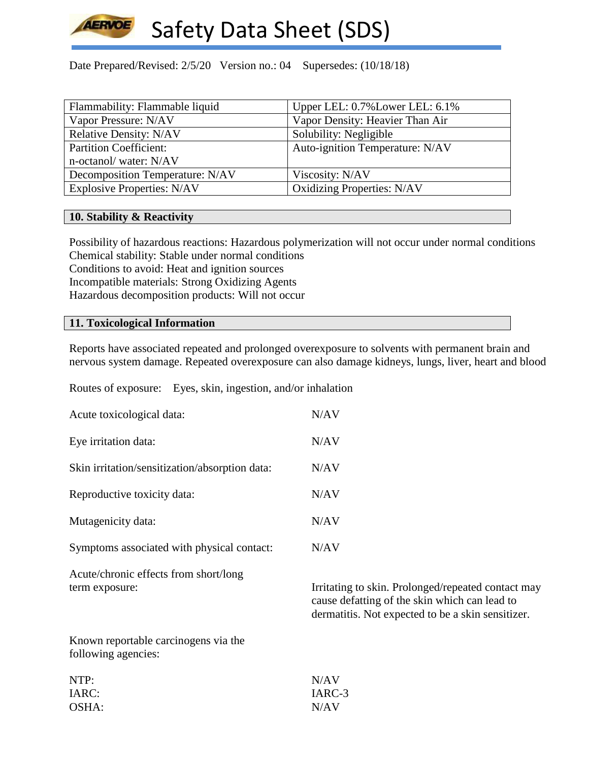

Date Prepared/Revised: 2/5/20 Version no.: 04 Supersedes: (10/18/18)

| Flammability: Flammable liquid    | Upper LEL: 0.7% Lower LEL: 6.1%   |
|-----------------------------------|-----------------------------------|
| Vapor Pressure: N/AV              | Vapor Density: Heavier Than Air   |
| <b>Relative Density: N/AV</b>     | Solubility: Negligible            |
| <b>Partition Coefficient:</b>     | Auto-ignition Temperature: N/AV   |
| n-octanol/water: N/AV             |                                   |
| Decomposition Temperature: N/AV   | Viscosity: N/AV                   |
| <b>Explosive Properties: N/AV</b> | <b>Oxidizing Properties: N/AV</b> |

## **10. Stability & Reactivity**

Possibility of hazardous reactions: Hazardous polymerization will not occur under normal conditions Chemical stability: Stable under normal conditions Conditions to avoid: Heat and ignition sources Incompatible materials: Strong Oxidizing Agents Hazardous decomposition products: Will not occur

## **11. Toxicological Information**

Reports have associated repeated and prolonged overexposure to solvents with permanent brain and nervous system damage. Repeated overexposure can also damage kidneys, lungs, liver, heart and blood

Routes of exposure: Eyes, skin, ingestion, and/or inhalation

| Acute toxicological data:                      | N/AV |
|------------------------------------------------|------|
| Eye irritation data:                           | N/AV |
| Skin irritation/sensitization/absorption data: | N/AV |
| Reproductive toxicity data:                    | N/AV |
| Mutagenicity data:                             | N/AV |
| Symptoms associated with physical contact:     | N/AV |

Acute/chronic effects from short/long

term exposure: Irritating to skin. Prolonged/repeated contact may cause defatting of the skin which can lead to dermatitis. Not expected to be a skin sensitizer.

Known reportable carcinogens via the following agencies:

| NTP:  | N/AV   |
|-------|--------|
| IARC: | IARC-3 |
| OSHA: | N/AV   |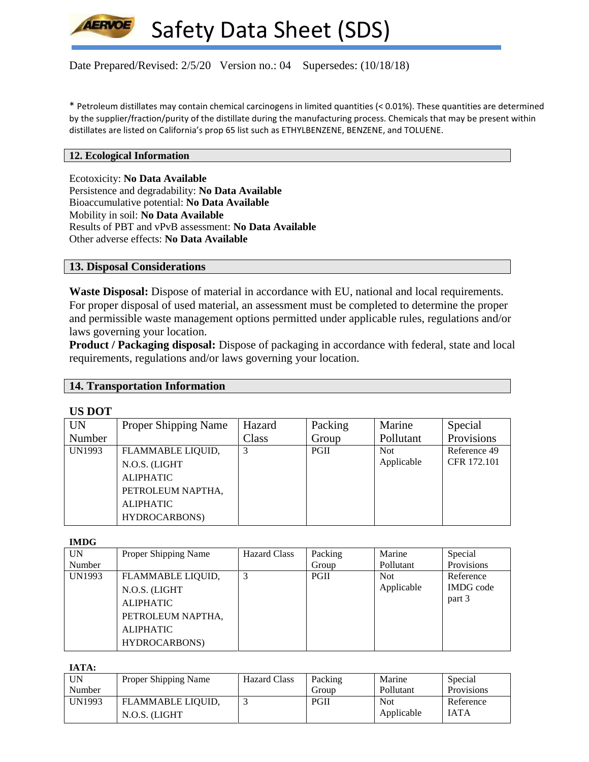

Date Prepared/Revised: 2/5/20 Version no.: 04 Supersedes: (10/18/18)

\* Petroleum distillates may contain chemical carcinogens in limited quantities (< 0.01%). These quantities are determined by the supplier/fraction/purity of the distillate during the manufacturing process. Chemicals that may be present within distillates are listed on California's prop 65 list such as ETHYLBENZENE, BENZENE, and TOLUENE.

#### **12. Ecological Information**

Ecotoxicity: **No Data Available** Persistence and degradability: **No Data Available** Bioaccumulative potential: **No Data Available** Mobility in soil: **No Data Available** Results of PBT and vPvB assessment: **No Data Available** Other adverse effects: **No Data Available**

## **13. Disposal Considerations**

**Waste Disposal:** Dispose of material in accordance with EU, national and local requirements. For proper disposal of used material, an assessment must be completed to determine the proper and permissible waste management options permitted under applicable rules, regulations and/or laws governing your location.

**Product / Packaging disposal:** Dispose of packaging in accordance with federal, state and local requirements, regulations and/or laws governing your location.

## **14. Transportation Information**

#### **US DOT**

| <b>UN</b>     | <b>Proper Shipping Name</b> | Hazard | Packing | Marine     | Special      |
|---------------|-----------------------------|--------|---------|------------|--------------|
| Number        |                             | Class  | Group   | Pollutant  | Provisions   |
| <b>UN1993</b> | FLAMMABLE LIQUID,           | 3      | PGII    | <b>Not</b> | Reference 49 |
|               | N.O.S. (LIGHT               |        |         | Applicable | CFR 172.101  |
|               | <b>ALIPHATIC</b>            |        |         |            |              |
|               | PETROLEUM NAPTHA,           |        |         |            |              |
|               | <b>ALIPHATIC</b>            |        |         |            |              |
|               | HYDROCARBONS)               |        |         |            |              |

**IMDG**

| <b>UN</b>     | Proper Shipping Name | <b>Hazard Class</b> | Packing | Marine     | Special          |
|---------------|----------------------|---------------------|---------|------------|------------------|
| Number        |                      |                     | Group   | Pollutant  | Provisions       |
| <b>UN1993</b> | FLAMMABLE LIQUID,    |                     | PGII    | <b>Not</b> | Reference        |
|               | N.O.S. (LIGHT        |                     |         | Applicable | <b>IMDG</b> code |
|               | <b>ALIPHATIC</b>     |                     |         |            | part 3           |
|               | PETROLEUM NAPTHA,    |                     |         |            |                  |
|               | <b>ALIPHATIC</b>     |                     |         |            |                  |
|               | HYDROCARBONS)        |                     |         |            |                  |

**IATA:**

| UN     | <b>Proper Shipping Name</b> | <b>Hazard Class</b> | Packing     | Marine     | Special     |
|--------|-----------------------------|---------------------|-------------|------------|-------------|
| Number |                             |                     | Group       | Pollutant  | Provisions  |
| UN1993 | FLAMMABLE LIQUID,           |                     | <b>PGII</b> | <b>Not</b> | Reference   |
|        | N.O.S. (LIGHT               |                     |             | Applicable | <b>IATA</b> |